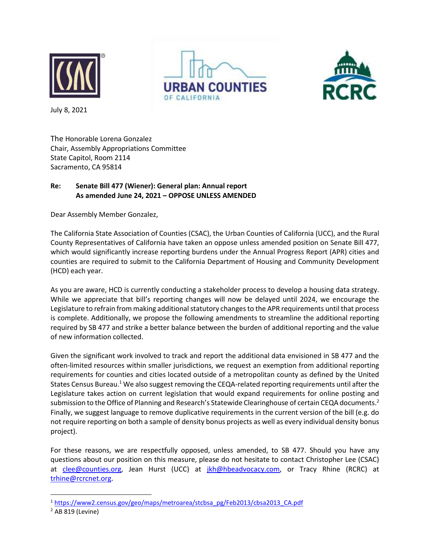

**URBAN COUNTIES** 



July 8, 2021

The Honorable Lorena Gonzalez Chair, Assembly Appropriations Committee State Capitol, Room 2114 Sacramento, CA 95814

## **Re: Senate Bill 477 (Wiener): General plan: Annual report As amended June 24, 2021 – OPPOSE UNLESS AMENDED**

Dear Assembly Member Gonzalez,

The California State Association of Counties (CSAC), the Urban Counties of California (UCC), and the Rural County Representatives of California have taken an oppose unless amended position on Senate Bill 477, which would significantly increase reporting burdens under the Annual Progress Report (APR) cities and counties are required to submit to the California Department of Housing and Community Development (HCD) each year.

As you are aware, HCD is currently conducting a stakeholder process to develop a housing data strategy. While we appreciate that bill's reporting changes will now be delayed until 2024, we encourage the Legislature to refrain from making additional statutory changes to the APR requirements until that process is complete. Additionally, we propose the following amendments to streamline the additional reporting required by SB 477 and strike a better balance between the burden of additional reporting and the value of new information collected.

Given the significant work involved to track and report the additional data envisioned in SB 477 and the often-limited resources within smaller jurisdictions, we request an exemption from additional reporting requirements for counties and cities located outside of a metropolitan county as defined by the United States Census Bureau.<sup>1</sup> We also suggest removing the CEQA-related reporting requirements until after the Legislature takes action on current legislation that would expand requirements for online posting and submission to the Office of Planning and Research's Statewide Clearinghouse of certain CEQA documents.<sup>2</sup> Finally, we suggest language to remove duplicative requirements in the current version of the bill (e.g. do not require reporting on both a sample of density bonus projects as well as every individual density bonus project).

For these reasons, we are respectfully opposed, unless amended, to SB 477. Should you have any questions about our position on this measure, please do not hesitate to contact Christopher Lee (CSAC) at [clee@counties.org,](mailto:clee@counties.org) Jean Hurst (UCC) at [jkh@hbeadvocacy.com,](mailto:jkh@hbeadvocacy.com) or Tracy Rhine (RCRC) at [trhine@rcrcnet.org.](mailto:trhine@rcrcnet.org)

<sup>1</sup> [https://www2.census.gov/geo/maps/metroarea/stcbsa\\_pg/Feb2013/cbsa2013\\_CA.pdf](https://www2.census.gov/geo/maps/metroarea/stcbsa_pg/Feb2013/cbsa2013_CA.pdf)

 $<sup>2</sup>$  AB 819 (Levine)</sup>